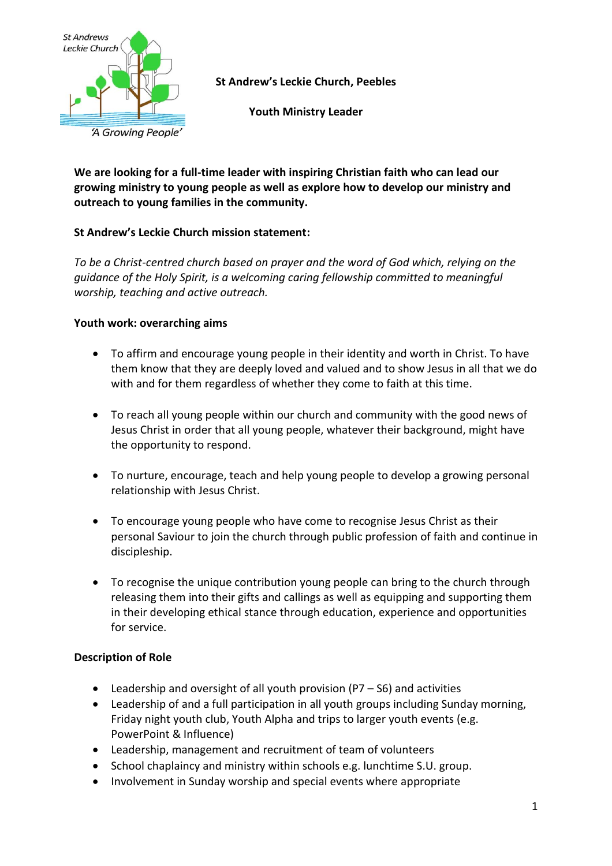

**St Andrew's Leckie Church, Peebles**

**Youth Ministry Leader**

**We are looking for a full-time leader with inspiring Christian faith who can lead our growing ministry to young people as well as explore how to develop our ministry and outreach to young families in the community.**

# **St Andrew's Leckie Church mission statement:**

*To be a Christ-centred church based on prayer and the word of God which, relying on the guidance of the Holy Spirit, is a welcoming caring fellowship committed to meaningful worship, teaching and active outreach.*

## **Youth work: overarching aims**

- To affirm and encourage young people in their identity and worth in Christ. To have them know that they are deeply loved and valued and to show Jesus in all that we do with and for them regardless of whether they come to faith at this time.
- To reach all young people within our church and community with the good news of Jesus Christ in order that all young people, whatever their background, might have the opportunity to respond.
- To nurture, encourage, teach and help young people to develop a growing personal relationship with Jesus Christ.
- To encourage young people who have come to recognise Jesus Christ as their personal Saviour to join the church through public profession of faith and continue in discipleship.
- To recognise the unique contribution young people can bring to the church through releasing them into their gifts and callings as well as equipping and supporting them in their developing ethical stance through education, experience and opportunities for service.

## **Description of Role**

- Leadership and oversight of all youth provision (P7 S6) and activities
- Leadership of and a full participation in all youth groups including Sunday morning, Friday night youth club, Youth Alpha and trips to larger youth events (e.g. PowerPoint & Influence)
- Leadership, management and recruitment of team of volunteers
- School chaplaincy and ministry within schools e.g. lunchtime S.U. group.
- Involvement in Sunday worship and special events where appropriate